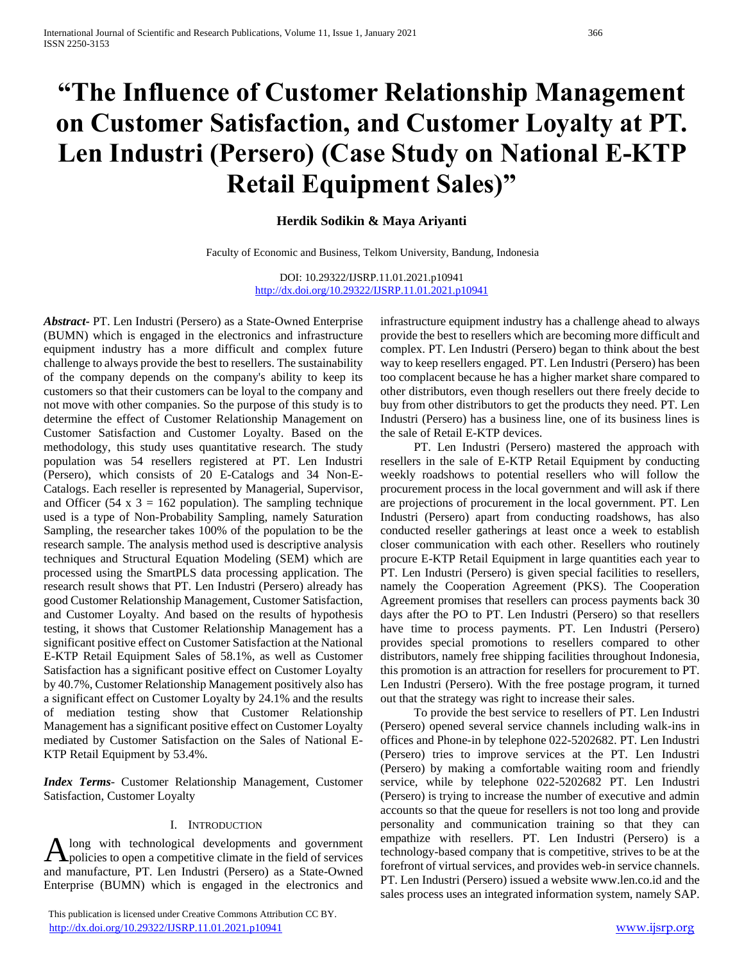# **"The Influence of Customer Relationship Management on Customer Satisfaction, and Customer Loyalty at PT. Len Industri (Persero) (Case Study on National E-KTP Retail Equipment Sales)"**

## **Herdik Sodikin & Maya Ariyanti**

Faculty of Economic and Business, Telkom University, Bandung, Indonesia

DOI: 10.29322/IJSRP.11.01.2021.p10941 <http://dx.doi.org/10.29322/IJSRP.11.01.2021.p10941>

*Abstract***-** PT. Len Industri (Persero) as a State-Owned Enterprise (BUMN) which is engaged in the electronics and infrastructure equipment industry has a more difficult and complex future challenge to always provide the best to resellers. The sustainability of the company depends on the company's ability to keep its customers so that their customers can be loyal to the company and not move with other companies. So the purpose of this study is to determine the effect of Customer Relationship Management on Customer Satisfaction and Customer Loyalty. Based on the methodology, this study uses quantitative research. The study population was 54 resellers registered at PT. Len Industri (Persero), which consists of 20 E-Catalogs and 34 Non-E-Catalogs. Each reseller is represented by Managerial, Supervisor, and Officer (54 x  $3 = 162$  population). The sampling technique used is a type of Non-Probability Sampling, namely Saturation Sampling, the researcher takes 100% of the population to be the research sample. The analysis method used is descriptive analysis techniques and Structural Equation Modeling (SEM) which are processed using the SmartPLS data processing application. The research result shows that PT. Len Industri (Persero) already has good Customer Relationship Management, Customer Satisfaction, and Customer Loyalty. And based on the results of hypothesis testing, it shows that Customer Relationship Management has a significant positive effect on Customer Satisfaction at the National E-KTP Retail Equipment Sales of 58.1%, as well as Customer Satisfaction has a significant positive effect on Customer Loyalty by 40.7%, Customer Relationship Management positively also has a significant effect on Customer Loyalty by 24.1% and the results of mediation testing show that Customer Relationship Management has a significant positive effect on Customer Loyalty mediated by Customer Satisfaction on the Sales of National E-KTP Retail Equipment by 53.4%.

*Index Terms*- Customer Relationship Management, Customer Satisfaction, Customer Loyalty

#### I. INTRODUCTION

long with technological developments and government A long with technological developments and government<br>policies to open a competitive climate in the field of services and manufacture, PT. Len Industri (Persero) as a State-Owned Enterprise (BUMN) which is engaged in the electronics and

 This publication is licensed under Creative Commons Attribution CC BY. <http://dx.doi.org/10.29322/IJSRP.11.01.2021.p10941> [www.ijsrp.org](http://ijsrp.org/)

infrastructure equipment industry has a challenge ahead to always provide the best to resellers which are becoming more difficult and complex. PT. Len Industri (Persero) began to think about the best way to keep resellers engaged. PT. Len Industri (Persero) has been too complacent because he has a higher market share compared to other distributors, even though resellers out there freely decide to buy from other distributors to get the products they need. PT. Len Industri (Persero) has a business line, one of its business lines is the sale of Retail E-KTP devices.

 PT. Len Industri (Persero) mastered the approach with resellers in the sale of E-KTP Retail Equipment by conducting weekly roadshows to potential resellers who will follow the procurement process in the local government and will ask if there are projections of procurement in the local government. PT. Len Industri (Persero) apart from conducting roadshows, has also conducted reseller gatherings at least once a week to establish closer communication with each other. Resellers who routinely procure E-KTP Retail Equipment in large quantities each year to PT. Len Industri (Persero) is given special facilities to resellers, namely the Cooperation Agreement (PKS). The Cooperation Agreement promises that resellers can process payments back 30 days after the PO to PT. Len Industri (Persero) so that resellers have time to process payments. PT. Len Industri (Persero) provides special promotions to resellers compared to other distributors, namely free shipping facilities throughout Indonesia, this promotion is an attraction for resellers for procurement to PT. Len Industri (Persero). With the free postage program, it turned out that the strategy was right to increase their sales.

 To provide the best service to resellers of PT. Len Industri (Persero) opened several service channels including walk-ins in offices and Phone-in by telephone 022-5202682. PT. Len Industri (Persero) tries to improve services at the PT. Len Industri (Persero) by making a comfortable waiting room and friendly service, while by telephone 022-5202682 PT. Len Industri (Persero) is trying to increase the number of executive and admin accounts so that the queue for resellers is not too long and provide personality and communication training so that they can empathize with resellers. PT. Len Industri (Persero) is a technology-based company that is competitive, strives to be at the forefront of virtual services, and provides web-in service channels. PT. Len Industri (Persero) issued a website www.len.co.id and the sales process uses an integrated information system, namely SAP.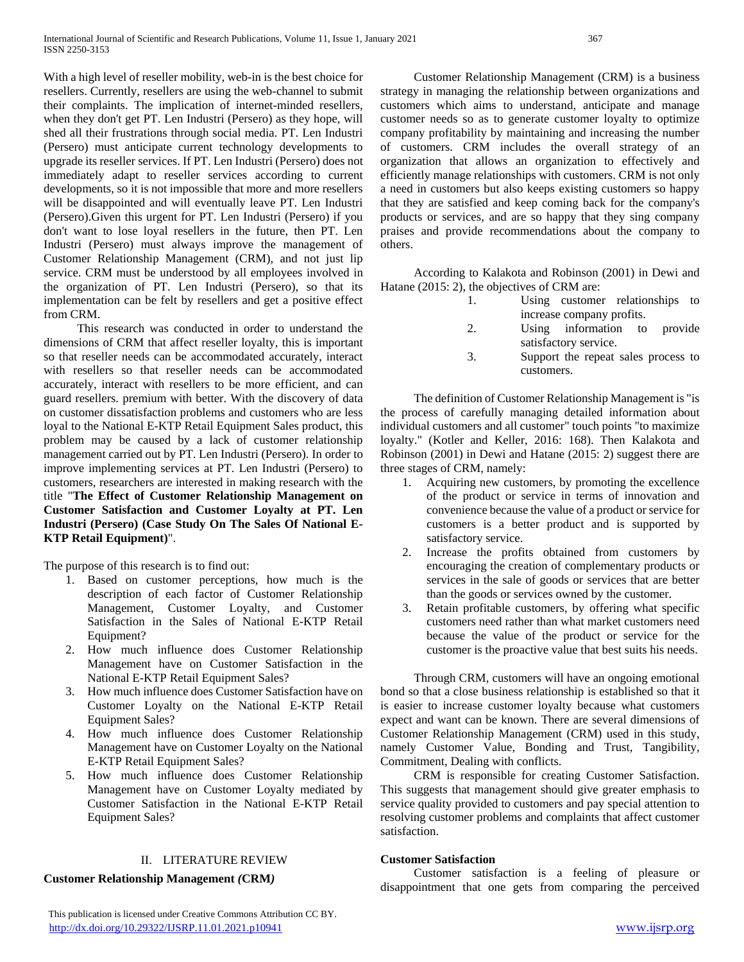With a high level of reseller mobility, web-in is the best choice for resellers. Currently, resellers are using the web-channel to submit their complaints. The implication of internet-minded resellers, when they don't get PT. Len Industri (Persero) as they hope, will shed all their frustrations through social media. PT. Len Industri (Persero) must anticipate current technology developments to upgrade its reseller services. If PT. Len Industri (Persero) does not immediately adapt to reseller services according to current developments, so it is not impossible that more and more resellers will be disappointed and will eventually leave PT. Len Industri (Persero).Given this urgent for PT. Len Industri (Persero) if you don't want to lose loyal resellers in the future, then PT. Len Industri (Persero) must always improve the management of Customer Relationship Management (CRM), and not just lip service. CRM must be understood by all employees involved in the organization of PT. Len Industri (Persero), so that its implementation can be felt by resellers and get a positive effect from CRM.

 This research was conducted in order to understand the dimensions of CRM that affect reseller loyalty, this is important so that reseller needs can be accommodated accurately, interact with resellers so that reseller needs can be accommodated accurately, interact with resellers to be more efficient, and can guard resellers. premium with better. With the discovery of data on customer dissatisfaction problems and customers who are less loyal to the National E-KTP Retail Equipment Sales product, this problem may be caused by a lack of customer relationship management carried out by PT. Len Industri (Persero). In order to improve implementing services at PT. Len Industri (Persero) to customers, researchers are interested in making research with the title "**The Effect of Customer Relationship Management on Customer Satisfaction and Customer Loyalty at PT. Len Industri (Persero) (Case Study On The Sales Of National E-KTP Retail Equipment)**".

The purpose of this research is to find out:

- 1. Based on customer perceptions, how much is the description of each factor of Customer Relationship Management, Customer Loyalty, and Customer Satisfaction in the Sales of National E-KTP Retail Equipment?
- 2. How much influence does Customer Relationship Management have on Customer Satisfaction in the National E-KTP Retail Equipment Sales?
- 3. How much influence does Customer Satisfaction have on Customer Loyalty on the National E-KTP Retail Equipment Sales?
- 4. How much influence does Customer Relationship Management have on Customer Loyalty on the National E-KTP Retail Equipment Sales?
- 5. How much influence does Customer Relationship Management have on Customer Loyalty mediated by Customer Satisfaction in the National E-KTP Retail Equipment Sales?

## II. LITERATURE REVIEW

## **Customer Relationship Management** *(***CRM***)*

 Customer Relationship Management (CRM) is a business strategy in managing the relationship between organizations and customers which aims to understand, anticipate and manage customer needs so as to generate customer loyalty to optimize company profitability by maintaining and increasing the number of customers. CRM includes the overall strategy of an organization that allows an organization to effectively and efficiently manage relationships with customers. CRM is not only a need in customers but also keeps existing customers so happy that they are satisfied and keep coming back for the company's

 According to Kalakota and Robinson (2001) in Dewi and Hatane (2015: 2), the objectives of CRM are:

products or services, and are so happy that they sing company praises and provide recommendations about the company to

others.

- 1. Using customer relationships to increase company profits.
- 2. Using information to provide satisfactory service.
- 3. Support the repeat sales process to customers.

 The definition of Customer Relationship Management is "is the process of carefully managing detailed information about individual customers and all customer" touch points "to maximize loyalty." (Kotler and Keller, 2016: 168). Then Kalakota and Robinson (2001) in Dewi and Hatane (2015: 2) suggest there are three stages of CRM, namely:

- 1. Acquiring new customers, by promoting the excellence of the product or service in terms of innovation and convenience because the value of a product or service for customers is a better product and is supported by satisfactory service.
- 2. Increase the profits obtained from customers by encouraging the creation of complementary products or services in the sale of goods or services that are better than the goods or services owned by the customer.
- 3. Retain profitable customers, by offering what specific customers need rather than what market customers need because the value of the product or service for the customer is the proactive value that best suits his needs.

 Through CRM, customers will have an ongoing emotional bond so that a close business relationship is established so that it is easier to increase customer loyalty because what customers expect and want can be known. There are several dimensions of Customer Relationship Management (CRM) used in this study, namely Customer Value, Bonding and Trust, Tangibility, Commitment, Dealing with conflicts.

 CRM is responsible for creating Customer Satisfaction. This suggests that management should give greater emphasis to service quality provided to customers and pay special attention to resolving customer problems and complaints that affect customer satisfaction.

## **Customer Satisfaction**

 Customer satisfaction is a feeling of pleasure or disappointment that one gets from comparing the perceived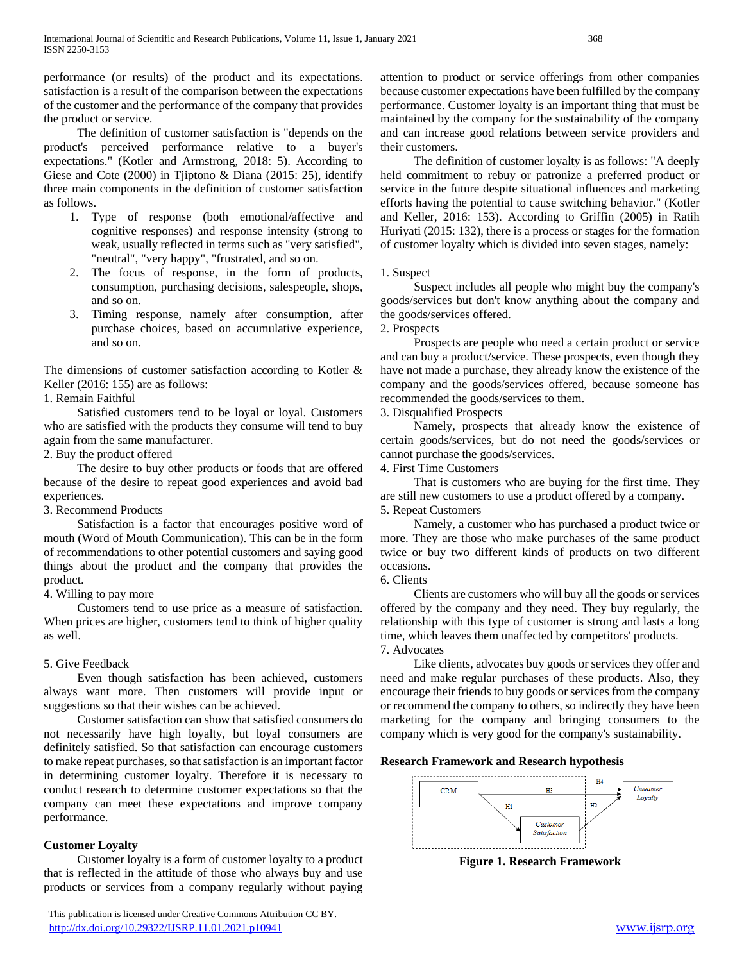performance (or results) of the product and its expectations. satisfaction is a result of the comparison between the expectations of the customer and the performance of the company that provides the product or service.

 The definition of customer satisfaction is "depends on the product's perceived performance relative to a buyer's expectations." (Kotler and Armstrong, 2018: 5). According to Giese and Cote (2000) in Tjiptono & Diana (2015: 25), identify three main components in the definition of customer satisfaction as follows.

- 1. Type of response (both emotional/affective and cognitive responses) and response intensity (strong to weak, usually reflected in terms such as "very satisfied", "neutral", "very happy", "frustrated, and so on.
- 2. The focus of response, in the form of products, consumption, purchasing decisions, salespeople, shops, and so on.
- 3. Timing response, namely after consumption, after purchase choices, based on accumulative experience, and so on.

The dimensions of customer satisfaction according to Kotler & Keller (2016: 155) are as follows:

#### 1. Remain Faithful

 Satisfied customers tend to be loyal or loyal. Customers who are satisfied with the products they consume will tend to buy again from the same manufacturer.

2. Buy the product offered

 The desire to buy other products or foods that are offered because of the desire to repeat good experiences and avoid bad experiences.

#### 3. Recommend Products

 Satisfaction is a factor that encourages positive word of mouth (Word of Mouth Communication). This can be in the form of recommendations to other potential customers and saying good things about the product and the company that provides the product.

#### 4. Willing to pay more

 Customers tend to use price as a measure of satisfaction. When prices are higher, customers tend to think of higher quality as well.

#### 5. Give Feedback

 Even though satisfaction has been achieved, customers always want more. Then customers will provide input or suggestions so that their wishes can be achieved.

 Customer satisfaction can show that satisfied consumers do not necessarily have high loyalty, but loyal consumers are definitely satisfied. So that satisfaction can encourage customers to make repeat purchases, so that satisfaction is an important factor in determining customer loyalty. Therefore it is necessary to conduct research to determine customer expectations so that the company can meet these expectations and improve company performance.

#### **Customer Loyalty**

 Customer loyalty is a form of customer loyalty to a product that is reflected in the attitude of those who always buy and use products or services from a company regularly without paying

 This publication is licensed under Creative Commons Attribution CC BY. <http://dx.doi.org/10.29322/IJSRP.11.01.2021.p10941> [www.ijsrp.org](http://ijsrp.org/)

attention to product or service offerings from other companies because customer expectations have been fulfilled by the company performance. Customer loyalty is an important thing that must be maintained by the company for the sustainability of the company and can increase good relations between service providers and their customers.

 The definition of customer loyalty is as follows: "A deeply held commitment to rebuy or patronize a preferred product or service in the future despite situational influences and marketing efforts having the potential to cause switching behavior." (Kotler and Keller, 2016: 153). According to Griffin (2005) in Ratih Huriyati (2015: 132), there is a process or stages for the formation of customer loyalty which is divided into seven stages, namely:

#### 1. Suspect

 Suspect includes all people who might buy the company's goods/services but don't know anything about the company and the goods/services offered.

2. Prospects

 Prospects are people who need a certain product or service and can buy a product/service. These prospects, even though they have not made a purchase, they already know the existence of the company and the goods/services offered, because someone has recommended the goods/services to them.

3. Disqualified Prospects

 Namely, prospects that already know the existence of certain goods/services, but do not need the goods/services or cannot purchase the goods/services.

4. First Time Customers

 That is customers who are buying for the first time. They are still new customers to use a product offered by a company. 5. Repeat Customers

 Namely, a customer who has purchased a product twice or more. They are those who make purchases of the same product twice or buy two different kinds of products on two different occasions.

6. Clients

 Clients are customers who will buy all the goods or services offered by the company and they need. They buy regularly, the relationship with this type of customer is strong and lasts a long time, which leaves them unaffected by competitors' products.

7. Advocates

 Like clients, advocates buy goods or services they offer and need and make regular purchases of these products. Also, they encourage their friends to buy goods or services from the company or recommend the company to others, so indirectly they have been marketing for the company and bringing consumers to the company which is very good for the company's sustainability.

#### **Research Framework and Research hypothesis**



**Figure 1. Research Framework**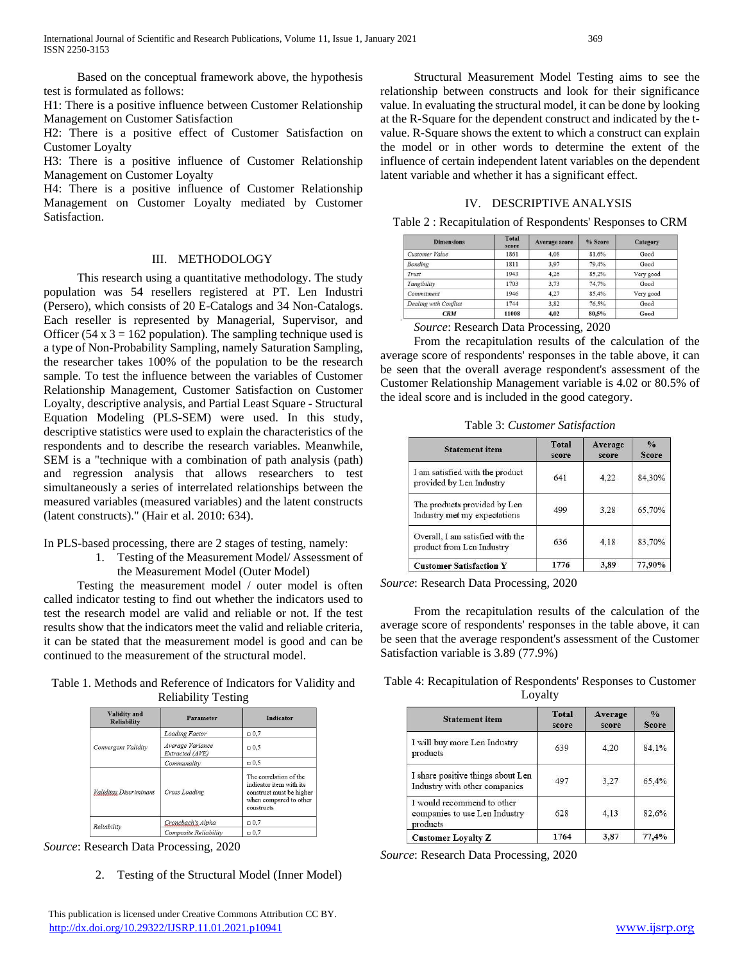Based on the conceptual framework above, the hypothesis test is formulated as follows:

H1: There is a positive influence between Customer Relationship Management on Customer Satisfaction

H2: There is a positive effect of Customer Satisfaction on Customer Loyalty

H3: There is a positive influence of Customer Relationship Management on Customer Loyalty

H4: There is a positive influence of Customer Relationship Management on Customer Loyalty mediated by Customer Satisfaction.

#### III. METHODOLOGY

 This research using a quantitative methodology. The study population was 54 resellers registered at PT. Len Industri (Persero), which consists of 20 E-Catalogs and 34 Non-Catalogs. Each reseller is represented by Managerial, Supervisor, and Officer (54 x  $3 = 162$  population). The sampling technique used is a type of Non-Probability Sampling, namely Saturation Sampling, the researcher takes 100% of the population to be the research sample. To test the influence between the variables of Customer Relationship Management, Customer Satisfaction on Customer Loyalty, descriptive analysis, and Partial Least Square - Structural Equation Modeling (PLS-SEM) were used. In this study, descriptive statistics were used to explain the characteristics of the respondents and to describe the research variables. Meanwhile, SEM is a "technique with a combination of path analysis (path) and regression analysis that allows researchers to test simultaneously a series of interrelated relationships between the measured variables (measured variables) and the latent constructs (latent constructs)." (Hair et al. 2010: 634).

#### In PLS-based processing, there are 2 stages of testing, namely:

1. Testing of the Measurement Model/ Assessment of the Measurement Model (Outer Model)

 Testing the measurement model / outer model is often called indicator testing to find out whether the indicators used to test the research model are valid and reliable or not. If the test results show that the indicators meet the valid and reliable criteria, it can be stated that the measurement model is good and can be continued to the measurement of the structural model.

Table 1. Methods and Reference of Indicators for Validity and Reliability Testing

| Validity and<br><b>Reliability</b> | <b>Parameter</b>                    | <b>Indicator</b>                                                                                                      |  |  |
|------------------------------------|-------------------------------------|-----------------------------------------------------------------------------------------------------------------------|--|--|
|                                    | <b>Loading Factor</b>               | $\Box 0.7$                                                                                                            |  |  |
| Convergent Validity                | Average Variance<br>Extracted (AVE) | $\Box$ 0.5                                                                                                            |  |  |
|                                    | Communality                         | $\Box 0.5$                                                                                                            |  |  |
| Validitas Discriminant             | Cross Loading                       | The correlation of the<br>indicator item with its<br>construct must be higher<br>when compared to other<br>constructs |  |  |
| Reliability                        | Croncbach's Alpha                   | $\Box 0.7$                                                                                                            |  |  |
|                                    | Composite Reliability               | $-0.7$                                                                                                                |  |  |

*Source*: Research Data Processing, 2020

2. Testing of the Structural Model (Inner Model)

 Structural Measurement Model Testing aims to see the relationship between constructs and look for their significance value. In evaluating the structural model, it can be done by looking at the R-Square for the dependent construct and indicated by the tvalue. R-Square shows the extent to which a construct can explain the model or in other words to determine the extent of the influence of certain independent latent variables on the dependent latent variable and whether it has a significant effect.

## IV. DESCRIPTIVE ANALYSIS

|  | Table 2: Recapitulation of Respondents' Responses to CRM |  |
|--|----------------------------------------------------------|--|
|  |                                                          |  |

| <b>Dimensions</b>     | <b>Total</b><br>score | <b>Average score</b> | % Score | Category  |
|-----------------------|-----------------------|----------------------|---------|-----------|
| Customer Value        | 1861                  | 4,08                 | 81.6%   | Good      |
| Bonding               | 1811                  | 3.97                 | 79.4%   | Good      |
| Trust                 | 1943                  | 4.26                 | 85.2%   | Very good |
| Tangibility           | 1703                  | 3.73                 | 74.7%   | Good      |
| Commitment            | 1946                  | 4.27                 | 85.4%   | Very good |
| Dealing with Conflict | 1744                  | 3,82                 | 76.5%   | Good      |
| <b>CRM</b>            | 11008                 | 4,02                 | 80,5%   | Good      |

 *Source*: Research Data Processing, 2020

 From the recapitulation results of the calculation of the average score of respondents' responses in the table above, it can be seen that the overall average respondent's assessment of the Customer Relationship Management variable is 4.02 or 80.5% of the ideal score and is included in the good category.

Table 3: *Customer Satisfaction*

| <b>Statement item</b>                                         | <b>Total</b><br>score | Average<br>score | $\frac{0}{0}$<br><b>Score</b> |
|---------------------------------------------------------------|-----------------------|------------------|-------------------------------|
| I am satisfied with the product<br>provided by Len Industry   | 641                   | 4.22             | 84,30%                        |
| The products provided by Len<br>Industry met my expectations  | 499                   | 3.28             | 65,70%                        |
| Overall, I am satisfied with the<br>product from Len Industry | 636                   | 4.18             | 83,70%                        |
| <b>Customer Satisfaction Y</b>                                | 1776                  | 3,89             | 77,90%                        |

*Source*: Research Data Processing, 2020

 From the recapitulation results of the calculation of the average score of respondents' responses in the table above, it can be seen that the average respondent's assessment of the Customer Satisfaction variable is 3.89 (77.9%)

Table 4: Recapitulation of Respondents' Responses to Customer Loyalty

| <b>Statement item</b>                                                   | <b>Total</b><br>score | Average<br>score | $\frac{0}{2}$<br><b>Score</b> |
|-------------------------------------------------------------------------|-----------------------|------------------|-------------------------------|
| I will buy more Len Industry<br>products                                | 639                   | 4,20             | 84,1%                         |
| I share positive things about Len<br>Industry with other companies      | 497                   | 3.27             | 65,4%                         |
| I would recommend to other<br>companies to use Len Industry<br>products | 628                   | 4,13             | 82.6%                         |
| <b>Customer Lovalty Z</b>                                               | 1764                  | 3.87             | 77.4%                         |

*Source*: Research Data Processing, 2020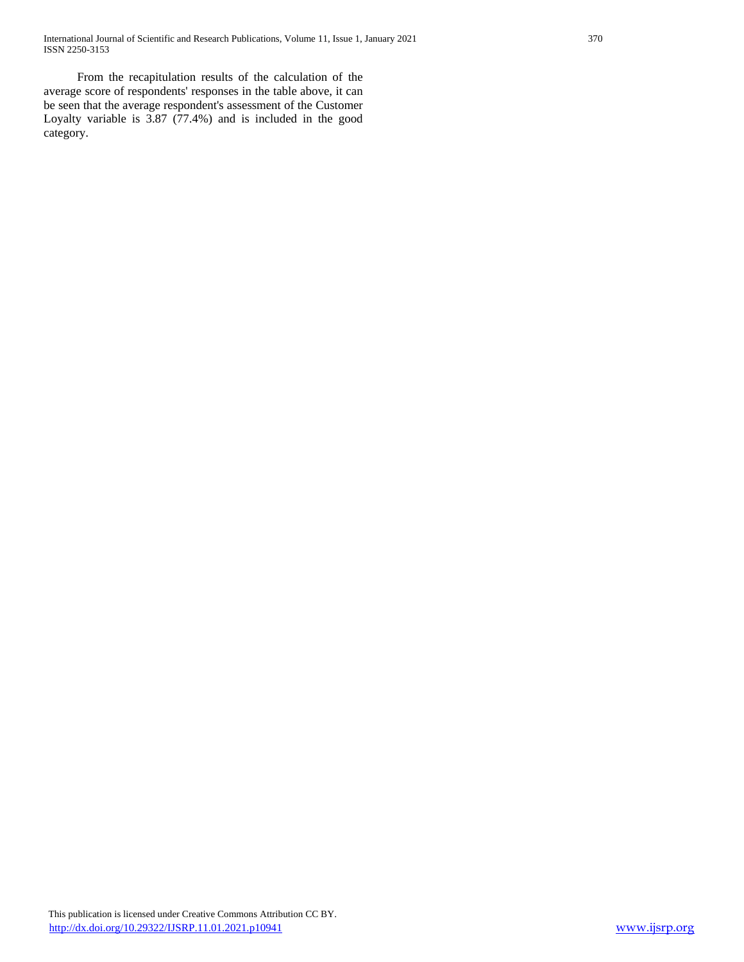From the recapitulation results of the calculation of the average score of respondents' responses in the table above, it can be seen that the average respondent's assessment of the Customer Loyalty variable is 3.87 (77.4%) and is included in the good category.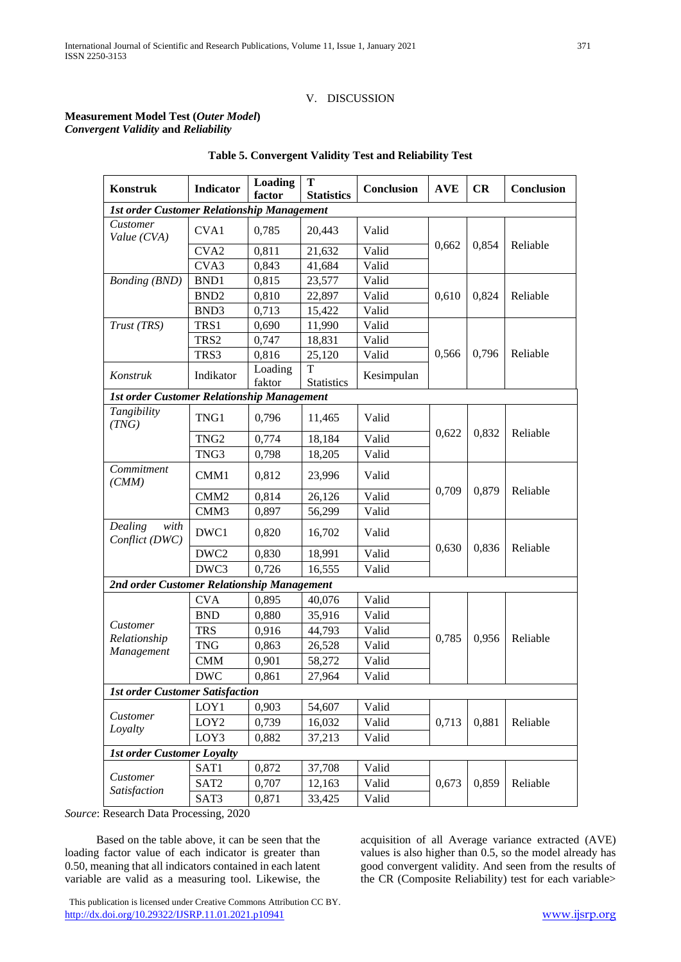## V. DISCUSSION

## **Measurement Model Test (***Outer Model***)** *Convergent Validity* **and** *Reliability*

| <b>Konstruk</b>                                   | Indicator        | Loading<br>factor | T<br><b>Statistics</b> | Conclusion | <b>AVE</b> | CR    | Conclusion |
|---------------------------------------------------|------------------|-------------------|------------------------|------------|------------|-------|------------|
| <b>1st order Customer Relationship Management</b> |                  |                   |                        |            |            |       |            |
| Customer<br>Value (CVA)                           | CVA1             | 0,785             | 20,443                 | Valid      |            |       |            |
|                                                   | CVA <sub>2</sub> | 0,811             | 21,632                 | Valid      | 0,662      | 0,854 | Reliable   |
|                                                   | CVA3             | 0,843             | 41,684                 | Valid      |            |       |            |
| <b>Bonding</b> (BND)                              | BND1             | 0,815             | 23,577                 | Valid      |            |       |            |
|                                                   | BND <sub>2</sub> | 0,810             | 22,897                 | Valid      | 0,610      | 0,824 | Reliable   |
|                                                   | BND3             | 0,713             | 15,422                 | Valid      |            |       |            |
| Trust (TRS)                                       | TRS1             | 0,690             | 11,990                 | Valid      |            |       |            |
|                                                   | TRS2             | 0,747             | 18,831                 | Valid      |            |       |            |
|                                                   | TRS3             | 0,816             | 25,120                 | Valid      | 0,566      | 0,796 | Reliable   |
| Konstruk                                          | Indikator        | Loading<br>faktor | Т<br><b>Statistics</b> | Kesimpulan |            |       |            |
| <b>1st order Customer Relationship Management</b> |                  |                   |                        |            |            |       |            |
| Tangibility<br>(TNG)                              | TNG1             | 0,796             | 11,465                 | Valid      |            |       |            |
|                                                   | TNG <sub>2</sub> | 0,774             | 18,184                 | Valid      | 0,622      | 0,832 | Reliable   |
|                                                   | TNG3             | 0,798             | 18,205                 | Valid      |            |       |            |
| Commitment<br>(CMM)                               | CMM1             | 0,812             | 23,996                 | Valid      |            |       |            |
|                                                   | CMM <sub>2</sub> | 0,814             | 26,126                 | Valid      | 0,709      | 0,879 | Reliable   |
|                                                   | CMM3             | 0,897             | 56,299                 | Valid      |            |       |            |
| $\overline{Dealing}$<br>with<br>Conflict (DWC)    | DWC1             | 0,820             | 16,702                 | Valid      |            |       |            |
|                                                   | DWC <sub>2</sub> | 0,830             | 18,991                 | Valid      | 0,630      | 0,836 | Reliable   |
|                                                   | DWC3             | 0,726             | 16,555                 | Valid      |            |       |            |
| 2nd order Customer Relationship Management        |                  |                   |                        |            |            |       |            |
|                                                   | <b>CVA</b>       | 0,895             | 40,076                 | Valid      |            |       |            |
|                                                   | <b>BND</b>       | 0,880             | 35,916                 | Valid      |            |       |            |
| Customer                                          | <b>TRS</b>       | 0,916             | 44,793                 | Valid      |            |       |            |
| Relationship<br>Management                        | <b>TNG</b>       | 0,863             | 26,528                 | Valid      | 0,785      | 0,956 | Reliable   |
|                                                   | <b>CMM</b>       | 0,901             | 58,272                 | Valid      |            |       |            |
|                                                   | <b>DWC</b>       | 0,861             | 27,964                 | Valid      |            |       |            |
| <b>1st order Customer Satisfaction</b>            |                  |                   |                        |            |            |       |            |
|                                                   | LOY1             | 0,903             | 54,607                 | Valid      |            |       |            |
| Customer                                          | LOY <sub>2</sub> | 0,739             | 16,032                 | Valid      | 0,713      | 0,881 | Reliable   |
| Loyalty                                           | LOY3             | 0,882             | 37,213                 | Valid      |            |       |            |
| <b>1st order Customer Loyalty</b>                 |                  |                   |                        |            |            |       |            |
|                                                   | SAT1             | 0,872             | 37,708                 | Valid      |            |       |            |
| Customer                                          | SAT <sub>2</sub> | 0,707             | 12,163                 | Valid      | 0,673      | 0,859 | Reliable   |
| Satisfaction                                      | SAT3             | 0,871             | 33,425                 | Valid      |            |       |            |

## **Table 5. Convergent Validity Test and Reliability Test**

*Source*: Research Data Processing, 2020

 Based on the table above, it can be seen that the loading factor value of each indicator is greater than 0.50, meaning that all indicators contained in each latent variable are valid as a measuring tool. Likewise, the

acquisition of all Average variance extracted (AVE) values is also higher than 0.5, so the model already has good convergent validity. And seen from the results of the CR (Composite Reliability) test for each variable>

 This publication is licensed under Creative Commons Attribution CC BY. <http://dx.doi.org/10.29322/IJSRP.11.01.2021.p10941> [www.ijsrp.org](http://ijsrp.org/)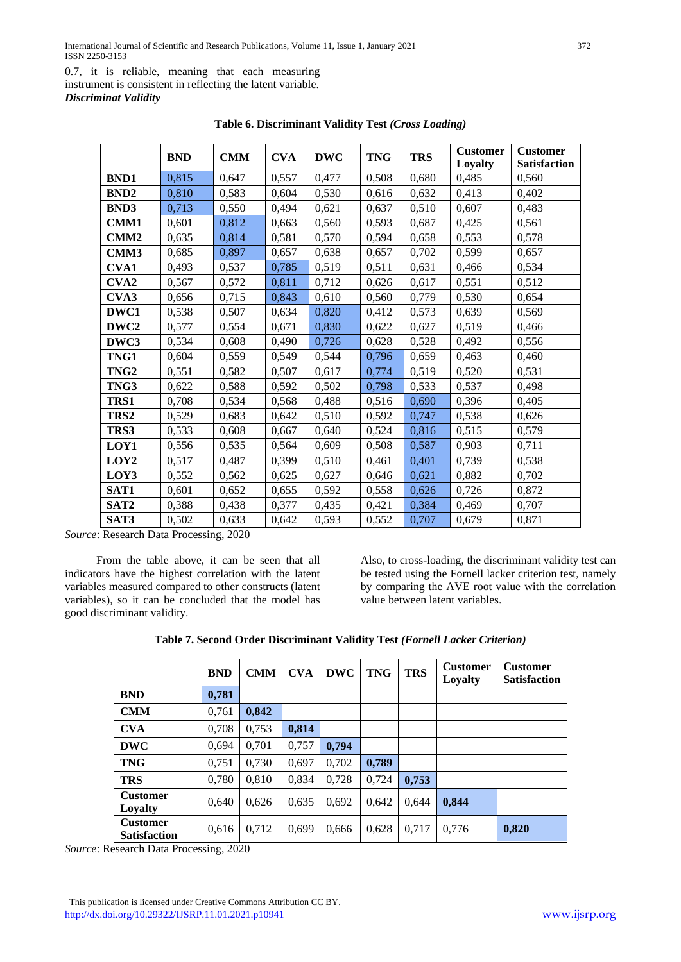0.7, it is reliable, meaning that each measuring instrument is consistent in reflecting the latent variable.

*Discriminat Validity*

|                  | <b>BND</b> | <b>CMM</b> | <b>CVA</b> | <b>DWC</b> | <b>TNG</b> | <b>TRS</b> | <b>Customer</b> | <b>Customer</b>     |
|------------------|------------|------------|------------|------------|------------|------------|-----------------|---------------------|
|                  |            |            |            |            |            |            | Loyalty         | <b>Satisfaction</b> |
| <b>BND1</b>      | 0,815      | 0,647      | 0,557      | 0,477      | 0,508      | 0,680      | 0,485           | 0,560               |
| <b>BND2</b>      | 0,810      | 0,583      | 0,604      | 0,530      | 0,616      | 0,632      | 0,413           | 0,402               |
| <b>BND3</b>      | 0,713      | 0,550      | 0,494      | 0,621      | 0,637      | 0,510      | 0,607           | 0,483               |
| CMM1             | 0,601      | 0,812      | 0,663      | 0,560      | 0,593      | 0,687      | 0,425           | 0,561               |
| CMM <sub>2</sub> | 0,635      | 0,814      | 0,581      | 0,570      | 0,594      | 0,658      | 0,553           | 0,578               |
| CMM3             | 0,685      | 0,897      | 0,657      | 0,638      | 0,657      | 0,702      | 0,599           | 0,657               |
| <b>CVA1</b>      | 0,493      | 0,537      | 0,785      | 0,519      | 0,511      | 0,631      | 0,466           | 0,534               |
| CVA <sub>2</sub> | 0,567      | 0,572      | 0,811      | 0,712      | 0,626      | 0,617      | 0,551           | 0,512               |
| CVA3             | 0,656      | 0,715      | 0,843      | 0,610      | 0,560      | 0,779      | 0,530           | 0,654               |
| DWC1             | 0,538      | 0,507      | 0,634      | 0,820      | 0,412      | 0,573      | 0,639           | 0,569               |
| DWC <sub>2</sub> | 0,577      | 0,554      | 0,671      | 0,830      | 0,622      | 0,627      | 0,519           | 0,466               |
| DWC3             | 0,534      | 0,608      | 0,490      | 0,726      | 0,628      | 0,528      | 0,492           | 0,556               |
| TNG1             | 0,604      | 0,559      | 0,549      | 0,544      | 0,796      | 0,659      | 0,463           | 0,460               |
| TNG <sub>2</sub> | 0,551      | 0,582      | 0,507      | 0,617      | 0,774      | 0,519      | 0,520           | 0,531               |
| TNG3             | 0,622      | 0,588      | 0,592      | 0,502      | 0,798      | 0,533      | 0,537           | 0,498               |
| TRS1             | 0,708      | 0,534      | 0,568      | 0,488      | 0,516      | 0,690      | 0,396           | 0,405               |
| TRS2             | 0,529      | 0,683      | 0,642      | 0,510      | 0,592      | 0,747      | 0,538           | 0,626               |
| TRS3             | 0,533      | 0,608      | 0,667      | 0,640      | 0,524      | 0,816      | 0,515           | 0,579               |
| LOY1             | 0,556      | 0,535      | 0,564      | 0,609      | 0,508      | 0,587      | 0,903           | 0,711               |
| LOY <sub>2</sub> | 0,517      | 0,487      | 0,399      | 0,510      | 0,461      | 0,401      | 0,739           | 0,538               |
| LOY3             | 0,552      | 0,562      | 0,625      | 0,627      | 0,646      | 0,621      | 0,882           | 0,702               |
| SAT1             | 0,601      | 0,652      | 0,655      | 0,592      | 0,558      | 0,626      | 0,726           | 0,872               |
| SAT <sub>2</sub> | 0,388      | 0,438      | 0,377      | 0,435      | 0,421      | 0,384      | 0,469           | 0,707               |
| SAT3             | 0,502      | 0,633      | 0,642      | 0,593      | 0,552      | 0,707      | 0,679           | 0,871               |

**Table 6. Discriminant Validity Test** *(Cross Loading)*

*Source*: Research Data Processing, 2020

 From the table above, it can be seen that all indicators have the highest correlation with the latent variables measured compared to other constructs (latent variables), so it can be concluded that the model has good discriminant validity.

Also, to cross-loading, the discriminant validity test can be tested using the Fornell lacker criterion test, namely by comparing the AVE root value with the correlation value between latent variables.

|  | Table 7. Second Order Discriminant Validity Test (Fornell Lacker Criterion) |
|--|-----------------------------------------------------------------------------|
|--|-----------------------------------------------------------------------------|

|                                        | <b>BND</b> | <b>CMM</b> | <b>CVA</b> | <b>DWC</b> | <b>TNG</b> | <b>TRS</b> | <b>Customer</b><br>Lovalty | <b>Customer</b><br><b>Satisfaction</b> |
|----------------------------------------|------------|------------|------------|------------|------------|------------|----------------------------|----------------------------------------|
| <b>BND</b>                             | 0,781      |            |            |            |            |            |                            |                                        |
| <b>CMM</b>                             | 0,761      | 0,842      |            |            |            |            |                            |                                        |
| <b>CVA</b>                             | 0.708      | 0,753      | 0,814      |            |            |            |                            |                                        |
| <b>DWC</b>                             | 0,694      | 0,701      | 0,757      | 0,794      |            |            |                            |                                        |
| <b>TNG</b>                             | 0.751      | 0.730      | 0.697      | 0.702      | 0,789      |            |                            |                                        |
| <b>TRS</b>                             | 0,780      | 0,810      | 0.834      | 0,728      | 0,724      | 0,753      |                            |                                        |
| <b>Customer</b><br>Loyalty             | 0,640      | 0,626      | 0.635      | 0.692      | 0.642      | 0,644      | 0,844                      |                                        |
| <b>Customer</b><br><b>Satisfaction</b> | 0,616      | 0,712      | 0.699      | 0,666      | 0,628      | 0.717      | 0,776                      | 0,820                                  |

*Source*: Research Data Processing, 2020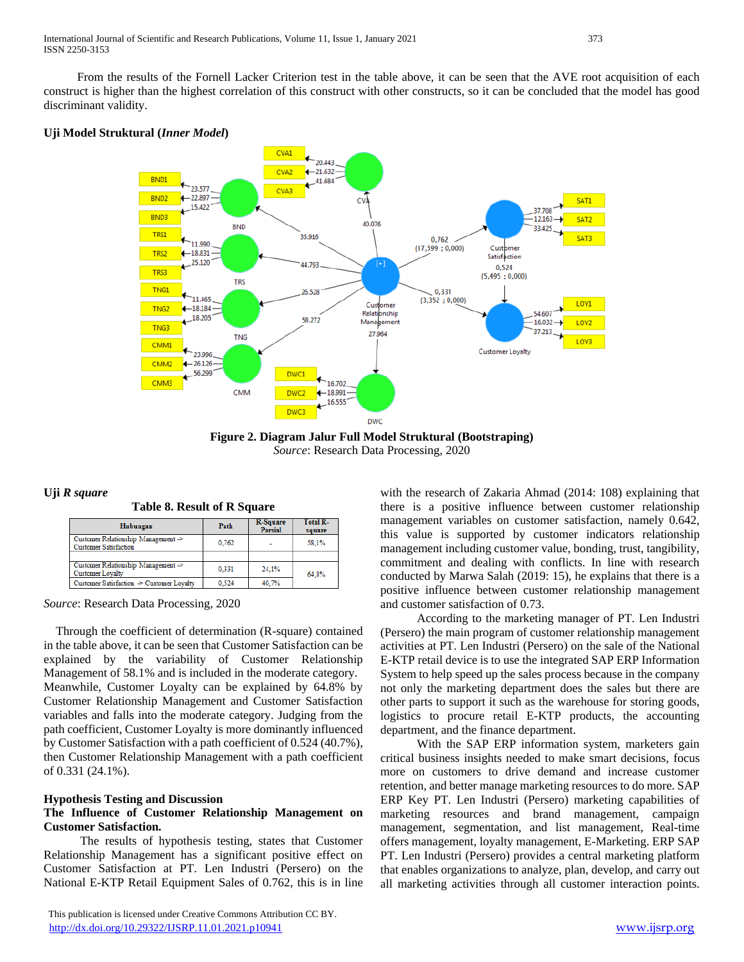From the results of the Fornell Lacker Criterion test in the table above, it can be seen that the AVE root acquisition of each construct is higher than the highest correlation of this construct with other constructs, so it can be concluded that the model has good discriminant validity.

## **Uji Model Struktural (***Inner Model***)**



**Figure 2. Diagram Jalur Full Model Struktural (Bootstraping)** *Source*: Research Data Processing, 2020

## **Uji** *R square*

**Table 8. Result of R Square**

| Hubungan                                                            | Path  | R-Square<br>Parsial | <b>Total R-</b><br>square |
|---------------------------------------------------------------------|-------|---------------------|---------------------------|
| Customer Relationship Management -><br><b>Customer Satisfaction</b> | 0.762 | ۰                   | 58.1%                     |
|                                                                     |       |                     |                           |
| Customer Relationship Management -><br><b>Customer Lovalty</b>      | 0.331 | 24,1%               | 64.8%                     |
| Customer Satisfaction -> Customer Loyalty                           | 0.524 | 40.7%               |                           |

*Source*: Research Data Processing, 2020

 Through the coefficient of determination (R-square) contained in the table above, it can be seen that Customer Satisfaction can be explained by the variability of Customer Relationship Management of 58.1% and is included in the moderate category. Meanwhile, Customer Loyalty can be explained by 64.8% by Customer Relationship Management and Customer Satisfaction variables and falls into the moderate category. Judging from the path coefficient, Customer Loyalty is more dominantly influenced by Customer Satisfaction with a path coefficient of 0.524 (40.7%), then Customer Relationship Management with a path coefficient of 0.331 (24.1%).

## **Hypothesis Testing and Discussion**

## **The Influence of Customer Relationship Management on Customer Satisfaction***.*

 The results of hypothesis testing, states that Customer Relationship Management has a significant positive effect on Customer Satisfaction at PT. Len Industri (Persero) on the National E-KTP Retail Equipment Sales of 0.762, this is in line with the research of Zakaria Ahmad (2014: 108) explaining that there is a positive influence between customer relationship management variables on customer satisfaction, namely 0.642, this value is supported by customer indicators relationship management including customer value, bonding, trust, tangibility, commitment and dealing with conflicts. In line with research conducted by Marwa Salah (2019: 15), he explains that there is a positive influence between customer relationship management and customer satisfaction of 0.73.

 According to the marketing manager of PT. Len Industri (Persero) the main program of customer relationship management activities at PT. Len Industri (Persero) on the sale of the National E-KTP retail device is to use the integrated SAP ERP Information System to help speed up the sales process because in the company not only the marketing department does the sales but there are other parts to support it such as the warehouse for storing goods, logistics to procure retail E-KTP products, the accounting department, and the finance department.

 With the SAP ERP information system, marketers gain critical business insights needed to make smart decisions, focus more on customers to drive demand and increase customer retention, and better manage marketing resources to do more. SAP ERP Key PT. Len Industri (Persero) marketing capabilities of marketing resources and brand management, campaign management, segmentation, and list management, Real-time offers management, loyalty management, E-Marketing. ERP SAP PT. Len Industri (Persero) provides a central marketing platform that enables organizations to analyze, plan, develop, and carry out all marketing activities through all customer interaction points.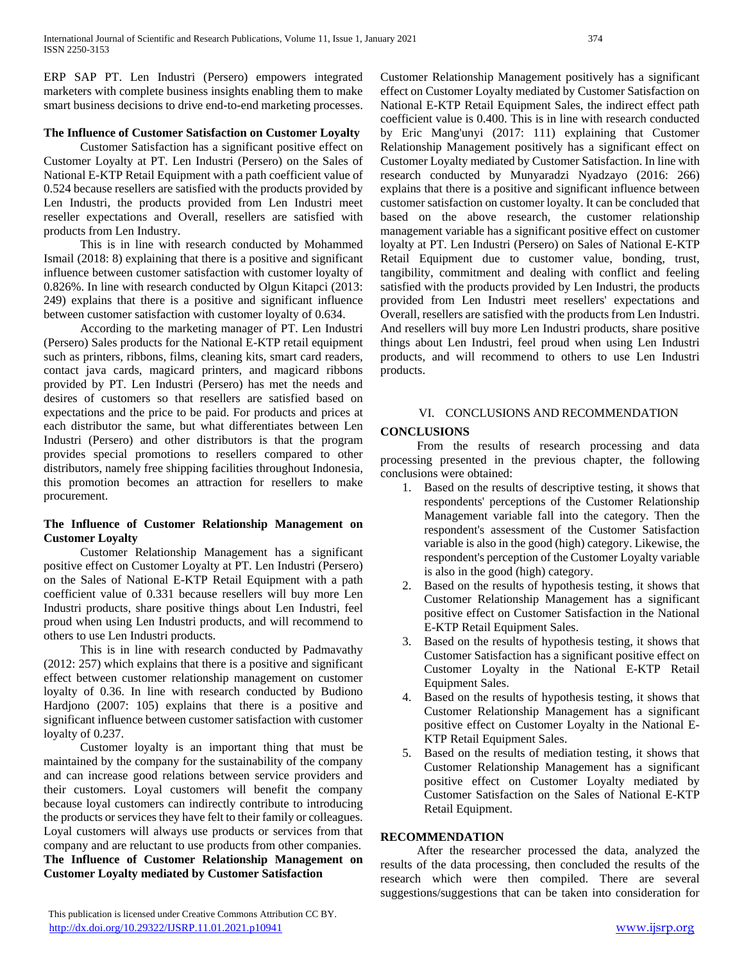ERP SAP PT. Len Industri (Persero) empowers integrated marketers with complete business insights enabling them to make smart business decisions to drive end-to-end marketing processes.

### **The Influence of Customer Satisfaction on Customer Loyalty**

 Customer Satisfaction has a significant positive effect on Customer Loyalty at PT. Len Industri (Persero) on the Sales of National E-KTP Retail Equipment with a path coefficient value of 0.524 because resellers are satisfied with the products provided by Len Industri, the products provided from Len Industri meet reseller expectations and Overall, resellers are satisfied with products from Len Industry.

 This is in line with research conducted by Mohammed Ismail (2018: 8) explaining that there is a positive and significant influence between customer satisfaction with customer loyalty of 0.826%. In line with research conducted by Olgun Kitapci (2013: 249) explains that there is a positive and significant influence between customer satisfaction with customer loyalty of 0.634.

 According to the marketing manager of PT. Len Industri (Persero) Sales products for the National E-KTP retail equipment such as printers, ribbons, films, cleaning kits, smart card readers, contact java cards, magicard printers, and magicard ribbons provided by PT. Len Industri (Persero) has met the needs and desires of customers so that resellers are satisfied based on expectations and the price to be paid. For products and prices at each distributor the same, but what differentiates between Len Industri (Persero) and other distributors is that the program provides special promotions to resellers compared to other distributors, namely free shipping facilities throughout Indonesia, this promotion becomes an attraction for resellers to make procurement.

## **The Influence of Customer Relationship Management on Customer Loyalty**

 Customer Relationship Management has a significant positive effect on Customer Loyalty at PT. Len Industri (Persero) on the Sales of National E-KTP Retail Equipment with a path coefficient value of 0.331 because resellers will buy more Len Industri products, share positive things about Len Industri, feel proud when using Len Industri products, and will recommend to others to use Len Industri products.

 This is in line with research conducted by Padmavathy (2012: 257) which explains that there is a positive and significant effect between customer relationship management on customer loyalty of 0.36. In line with research conducted by Budiono Hardjono (2007: 105) explains that there is a positive and significant influence between customer satisfaction with customer loyalty of 0.237.

 Customer loyalty is an important thing that must be maintained by the company for the sustainability of the company and can increase good relations between service providers and their customers. Loyal customers will benefit the company because loyal customers can indirectly contribute to introducing the products or services they have felt to their family or colleagues. Loyal customers will always use products or services from that company and are reluctant to use products from other companies. **The Influence of Customer Relationship Management on Customer Loyalty mediated by Customer Satisfaction**

Customer Relationship Management positively has a significant effect on Customer Loyalty mediated by Customer Satisfaction on National E-KTP Retail Equipment Sales, the indirect effect path coefficient value is 0.400. This is in line with research conducted by Eric Mang'unyi (2017: 111) explaining that Customer Relationship Management positively has a significant effect on Customer Loyalty mediated by Customer Satisfaction. In line with research conducted by Munyaradzi Nyadzayo (2016: 266) explains that there is a positive and significant influence between customer satisfaction on customer loyalty. It can be concluded that based on the above research, the customer relationship management variable has a significant positive effect on customer loyalty at PT. Len Industri (Persero) on Sales of National E-KTP Retail Equipment due to customer value, bonding, trust, tangibility, commitment and dealing with conflict and feeling satisfied with the products provided by Len Industri, the products provided from Len Industri meet resellers' expectations and Overall, resellers are satisfied with the products from Len Industri. And resellers will buy more Len Industri products, share positive things about Len Industri, feel proud when using Len Industri products, and will recommend to others to use Len Industri products.

## VI. CONCLUSIONS AND RECOMMENDATION

## **CONCLUSIONS**

 From the results of research processing and data processing presented in the previous chapter, the following conclusions were obtained:

- 1. Based on the results of descriptive testing, it shows that respondents' perceptions of the Customer Relationship Management variable fall into the category. Then the respondent's assessment of the Customer Satisfaction variable is also in the good (high) category. Likewise, the respondent's perception of the Customer Loyalty variable is also in the good (high) category.
- 2. Based on the results of hypothesis testing, it shows that Customer Relationship Management has a significant positive effect on Customer Satisfaction in the National E-KTP Retail Equipment Sales.
- 3. Based on the results of hypothesis testing, it shows that Customer Satisfaction has a significant positive effect on Customer Loyalty in the National E-KTP Retail Equipment Sales.
- 4. Based on the results of hypothesis testing, it shows that Customer Relationship Management has a significant positive effect on Customer Loyalty in the National E-KTP Retail Equipment Sales.
- 5. Based on the results of mediation testing, it shows that Customer Relationship Management has a significant positive effect on Customer Loyalty mediated by Customer Satisfaction on the Sales of National E-KTP Retail Equipment.

#### **RECOMMENDATION**

 After the researcher processed the data, analyzed the results of the data processing, then concluded the results of the research which were then compiled. There are several suggestions/suggestions that can be taken into consideration for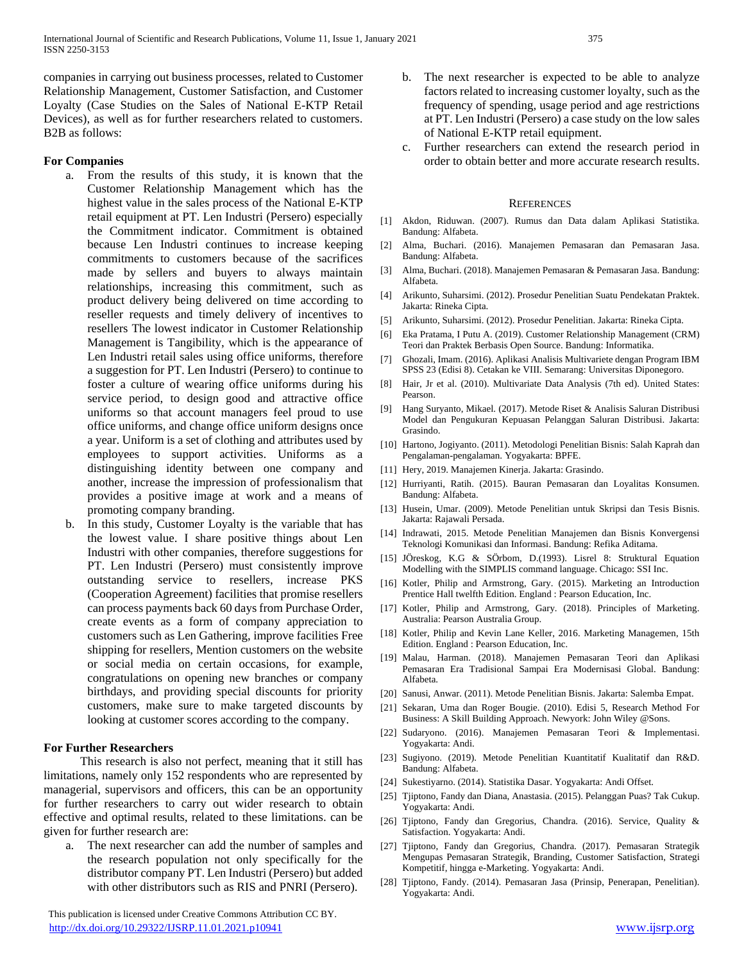companies in carrying out business processes, related to Customer Relationship Management, Customer Satisfaction, and Customer Loyalty (Case Studies on the Sales of National E-KTP Retail Devices), as well as for further researchers related to customers. B2B as follows:

#### **For Companies**

- a. From the results of this study, it is known that the Customer Relationship Management which has the highest value in the sales process of the National E-KTP retail equipment at PT. Len Industri (Persero) especially the Commitment indicator. Commitment is obtained because Len Industri continues to increase keeping commitments to customers because of the sacrifices made by sellers and buyers to always maintain relationships, increasing this commitment, such as product delivery being delivered on time according to reseller requests and timely delivery of incentives to resellers The lowest indicator in Customer Relationship Management is Tangibility, which is the appearance of Len Industri retail sales using office uniforms, therefore a suggestion for PT. Len Industri (Persero) to continue to foster a culture of wearing office uniforms during his service period, to design good and attractive office uniforms so that account managers feel proud to use office uniforms, and change office uniform designs once a year. Uniform is a set of clothing and attributes used by employees to support activities. Uniforms as a distinguishing identity between one company and another, increase the impression of professionalism that provides a positive image at work and a means of promoting company branding.
- b. In this study, Customer Loyalty is the variable that has the lowest value. I share positive things about Len Industri with other companies, therefore suggestions for PT. Len Industri (Persero) must consistently improve outstanding service to resellers, increase PKS (Cooperation Agreement) facilities that promise resellers can process payments back 60 days from Purchase Order, create events as a form of company appreciation to customers such as Len Gathering, improve facilities Free shipping for resellers, Mention customers on the website or social media on certain occasions, for example, congratulations on opening new branches or company birthdays, and providing special discounts for priority customers, make sure to make targeted discounts by looking at customer scores according to the company.

#### **For Further Researchers**

 This research is also not perfect, meaning that it still has limitations, namely only 152 respondents who are represented by managerial, supervisors and officers, this can be an opportunity for further researchers to carry out wider research to obtain effective and optimal results, related to these limitations. can be given for further research are:

a. The next researcher can add the number of samples and the research population not only specifically for the distributor company PT. Len Industri (Persero) but added with other distributors such as RIS and PNRI (Persero).

 This publication is licensed under Creative Commons Attribution CC BY. <http://dx.doi.org/10.29322/IJSRP.11.01.2021.p10941> [www.ijsrp.org](http://ijsrp.org/)

- b. The next researcher is expected to be able to analyze factors related to increasing customer loyalty, such as the frequency of spending, usage period and age restrictions at PT. Len Industri (Persero) a case study on the low sales of National E-KTP retail equipment.
- c. Further researchers can extend the research period in order to obtain better and more accurate research results.

#### **REFERENCES**

- [1] Akdon, Riduwan. (2007). Rumus dan Data dalam Aplikasi Statistika. Bandung: Alfabeta.
- [2] Alma, Buchari. (2016). Manajemen Pemasaran dan Pemasaran Jasa. Bandung: Alfabeta.
- [3] Alma, Buchari. (2018). Manajemen Pemasaran & Pemasaran Jasa. Bandung: Alfabeta.
- [4] Arikunto, Suharsimi. (2012). Prosedur Penelitian Suatu Pendekatan Praktek. Jakarta: Rineka Cipta.
- [5] Arikunto, Suharsimi. (2012). Prosedur Penelitian. Jakarta: Rineka Cipta.
- [6] Eka Pratama, I Putu A. (2019). Customer Relationship Management (CRM) Teori dan Praktek Berbasis Open Source. Bandung: Informatika.
- [7] Ghozali, Imam. (2016). Aplikasi Analisis Multivariete dengan Program IBM SPSS 23 (Edisi 8). Cetakan ke VIII. Semarang: Universitas Diponegoro.
- [8] Hair, Jr et al. (2010). Multivariate Data Analysis (7th ed). United States: Pearson.
- [9] Hang Suryanto, Mikael. (2017). Metode Riset & Analisis Saluran Distribusi Model dan Pengukuran Kepuasan Pelanggan Saluran Distribusi. Jakarta: Grasindo.
- [10] Hartono, Jogiyanto. (2011). Metodologi Penelitian Bisnis: Salah Kaprah dan Pengalaman-pengalaman. Yogyakarta: BPFE.
- [11] Hery, 2019. Manajemen Kinerja. Jakarta: Grasindo.
- [12] Hurriyanti, Ratih. (2015). Bauran Pemasaran dan Loyalitas Konsumen. Bandung: Alfabeta.
- [13] Husein, Umar. (2009). Metode Penelitian untuk Skripsi dan Tesis Bisnis. Jakarta: Rajawali Persada.
- [14] Indrawati, 2015. Metode Penelitian Manajemen dan Bisnis Konvergensi Teknologi Komunikasi dan Informasi. Bandung: Refika Aditama.
- [15] JÖreskog, K.G & SÖrbom, D.(1993). Lisrel 8: Struktural Equation Modelling with the SIMPLIS command language. Chicago: SSI Inc.
- [16] Kotler, Philip and Armstrong, Gary. (2015). Marketing an Introduction Prentice Hall twelfth Edition. England : Pearson Education, Inc.
- [17] Kotler, Philip and Armstrong, Gary. (2018). Principles of Marketing. Australia: Pearson Australia Group.
- [18] Kotler, Philip and Kevin Lane Keller, 2016. Marketing Managemen, 15th Edition. England : Pearson Education, Inc.
- [19] Malau, Harman. (2018). Manajemen Pemasaran Teori dan Aplikasi Pemasaran Era Tradisional Sampai Era Modernisasi Global. Bandung: Alfabeta.
- [20] Sanusi, Anwar. (2011). Metode Penelitian Bisnis. Jakarta: Salemba Empat.
- [21] Sekaran, Uma dan Roger Bougie. (2010). Edisi 5, Research Method For Business: A Skill Building Approach. Newyork: John Wiley @Sons.
- [22] Sudaryono. (2016). Manajemen Pemasaran Teori & Implementasi. Yogyakarta: Andi.
- [23] Sugiyono. (2019). Metode Penelitian Kuantitatif Kualitatif dan R&D. Bandung: Alfabeta.
- [24] Sukestiyarno. (2014). Statistika Dasar. Yogyakarta: Andi Offset.
- [25] Tjiptono, Fandy dan Diana, Anastasia. (2015). Pelanggan Puas? Tak Cukup. Yogyakarta: Andi.
- [26] Tjiptono, Fandy dan Gregorius, Chandra. (2016). Service, Quality & Satisfaction. Yogyakarta: Andi.
- [27] Tjiptono, Fandy dan Gregorius, Chandra. (2017). Pemasaran Strategik Mengupas Pemasaran Strategik, Branding, Customer Satisfaction, Strategi Kompetitif, hingga e-Marketing. Yogyakarta: Andi.
- [28] Tjiptono, Fandy. (2014). Pemasaran Jasa (Prinsip, Penerapan, Penelitian). Yogyakarta: Andi.